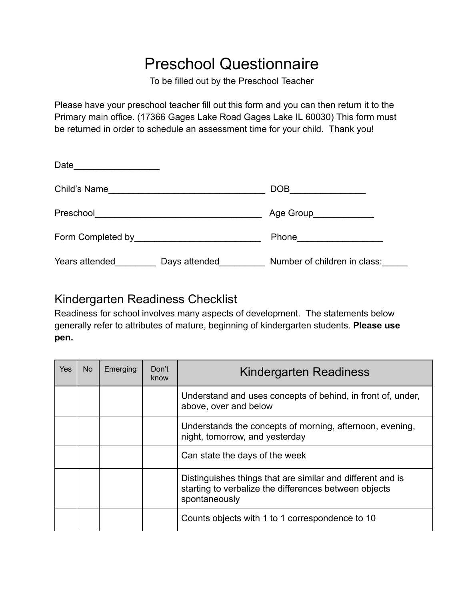## Preschool Questionnaire

To be filled out by the Preschool Teacher

Please have your preschool teacher fill out this form and you can then return it to the Primary main office. (17366 Gages Lake Road Gages Lake IL 60030) This form must be returned in order to schedule an assessment time for your child. Thank you!

| Date_____________________ |                                                   |                              |
|---------------------------|---------------------------------------------------|------------------------------|
|                           |                                                   | $DOB$ ___________            |
| Preschool                 | <u> 1989 - Johann Barbara, martxa alemaniar a</u> | Age Group_____________       |
|                           |                                                   | Phone <u>______________</u>  |
| Years attended            | Days attended                                     | Number of children in class: |

## Kindergarten Readiness Checklist

Readiness for school involves many aspects of development. The statements below generally refer to attributes of mature, beginning of kindergarten students. **Please use pen.**

| Yes | No. | Emerging | Don't<br>know | Kindergarten Readiness                                                                                                               |
|-----|-----|----------|---------------|--------------------------------------------------------------------------------------------------------------------------------------|
|     |     |          |               | Understand and uses concepts of behind, in front of, under,<br>above, over and below                                                 |
|     |     |          |               | Understands the concepts of morning, afternoon, evening,<br>night, tomorrow, and yesterday                                           |
|     |     |          |               | Can state the days of the week                                                                                                       |
|     |     |          |               | Distinguishes things that are similar and different and is<br>starting to verbalize the differences between objects<br>spontaneously |
|     |     |          |               | Counts objects with 1 to 1 correspondence to 10                                                                                      |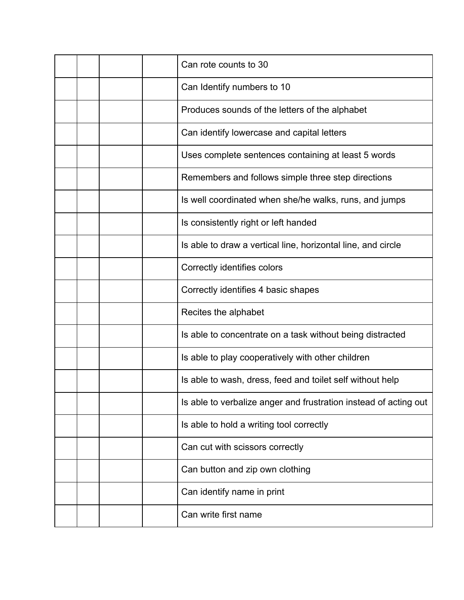|  |  | Can rote counts to 30                                            |
|--|--|------------------------------------------------------------------|
|  |  | Can Identify numbers to 10                                       |
|  |  | Produces sounds of the letters of the alphabet                   |
|  |  | Can identify lowercase and capital letters                       |
|  |  | Uses complete sentences containing at least 5 words              |
|  |  | Remembers and follows simple three step directions               |
|  |  | Is well coordinated when she/he walks, runs, and jumps           |
|  |  | Is consistently right or left handed                             |
|  |  | Is able to draw a vertical line, horizontal line, and circle     |
|  |  | Correctly identifies colors                                      |
|  |  | Correctly identifies 4 basic shapes                              |
|  |  | Recites the alphabet                                             |
|  |  | Is able to concentrate on a task without being distracted        |
|  |  | Is able to play cooperatively with other children                |
|  |  | Is able to wash, dress, feed and toilet self without help        |
|  |  | Is able to verbalize anger and frustration instead of acting out |
|  |  | Is able to hold a writing tool correctly                         |
|  |  | Can cut with scissors correctly                                  |
|  |  | Can button and zip own clothing                                  |
|  |  | Can identify name in print                                       |
|  |  | Can write first name                                             |